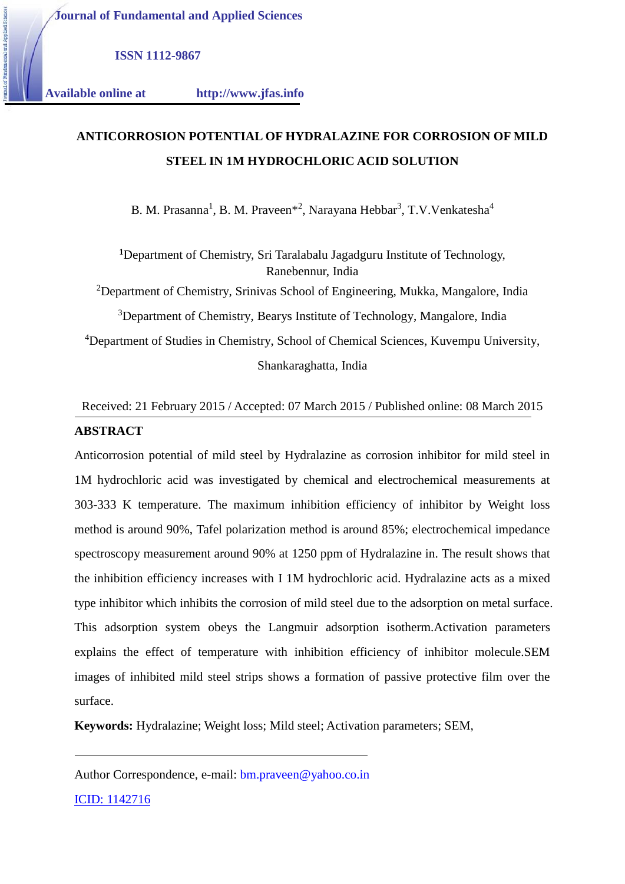**Journal of Fundamental and Applied Sciences**

**ISSN 1112-9867**

1.1.1.1.1.1.1.1 **Available online at http://www.jfas.info**

# **ANTICORROSION POTENTIAL OF HYDRALAZINE FOR CORROSION OF MILD** 1.1.1.1.1.1.1.1.2 **STEEL IN 1M HYDROCHLORIC ACID SOLUTION**

B. M. Prasanna<sup>1</sup>, B. M. Praveen<sup>\*2</sup>, Narayana Hebbar<sup>3</sup>, T.V.Venkatesha<sup>4</sup>

**<sup>1</sup>**Department of Chemistry, Sri Taralabalu Jagadguru Institute of Technology, Ranebennur, India

<sup>2</sup>Department of Chemistry, Srinivas School of Engineering, Mukka, Mangalore, India

<sup>3</sup>Department of Chemistry, Bearys Institute of Technology, Mangalore, India

<sup>4</sup>Department of Studies in Chemistry, School of Chemical Sciences, Kuvempu University, Shankaraghatta, India

## Received: 21 February 2015 / Accepted: 07 March 2015 / Published online: 08 March 2015 **ABSTRACT**

Anticorrosion potential of mild steel by Hydralazine as corrosion inhibitor for mild steel in 1M hydrochloric acid was investigated by chemical and electrochemical measurements at 303-333 K temperature. The maximum inhibition efficiency of inhibitor by Weight loss method is around 90%, Tafel polarization method is around 85%; electrochemical impedance spectroscopy measurement around 90% at 1250 ppm of Hydralazine in. The result shows that the inhibition efficiency increases with I 1M hydrochloric acid. Hydralazine acts as a mixed type inhibitor which inhibits the corrosion of mild steel due to the adsorption on metal surface. This adsorption system obeys the Langmuir adsorption isotherm.Activation parameters explains the effect of temperature with inhibition efficiency of inhibitor molecule.SEM images of inhibited mild steel strips shows a formation of passive protective film over the surface.

**Keywords:** Hydralazine; Weight loss; Mild steel; Activation parameters; SEM,

Author Correspondence, e-mail: bm.praveen@yahoo.co.in

ICID: 1142716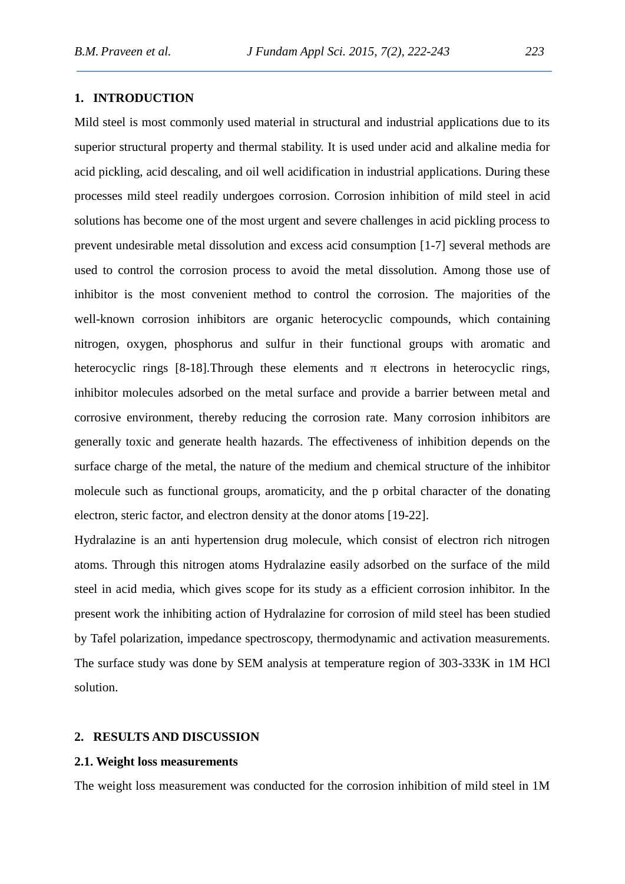## **1. INTRODUCTION**

Mild steel is most commonly used material in structural and industrial applications due to its superior structural property and thermal stability. It is used under acid and alkaline media for acid pickling, acid descaling, and oil well acidification in industrial applications. During these processes mild steel readily undergoes corrosion. Corrosion inhibition of mild steel in acid solutions has become one of the most urgent and severe challenges in acid pickling process to prevent undesirable metal dissolution and excess acid consumption [1-7] several methods are used to control the corrosion process to avoid the metal dissolution. Among those use of inhibitor is the most convenient method to control the corrosion. The majorities of the well-known corrosion inhibitors are organic heterocyclic compounds, which containing nitrogen, oxygen, phosphorus and sulfur in their functional groups with aromatic and heterocyclic rings [8-18]. Through these elements and electrons in heterocyclic rings, inhibitor molecules adsorbed on the metal surface and provide a barrier between metal and corrosive environment, thereby reducing the corrosion rate. Many corrosion inhibitors are generally toxic and generate health hazards. The effectiveness of inhibition depends on the surface charge of the metal, the nature of the medium and chemical structure of the inhibitor molecule such as functional groups, aromaticity, and the p orbital character of the donating electron, steric factor, and electron density at the donor atoms [19-22].

Hydralazine is an anti hypertension drug molecule, which consist of electron rich nitrogen atoms. Through this nitrogen atoms Hydralazine easily adsorbed on the surface of the mild steel in acid media, which gives scope for its study as a efficient corrosion inhibitor. In the present work the inhibiting action of Hydralazine for corrosion of mild steel has been studied by Tafel polarization, impedance spectroscopy, thermodynamic and activation measurements. The surface study was done by SEM analysis at temperature region of 303-333K in 1M HCl solution.

#### **2. RESULTS AND DISCUSSION**

#### **2.1. Weight loss measurements**

The weight loss measurement was conducted for the corrosion inhibition of mild steel in 1M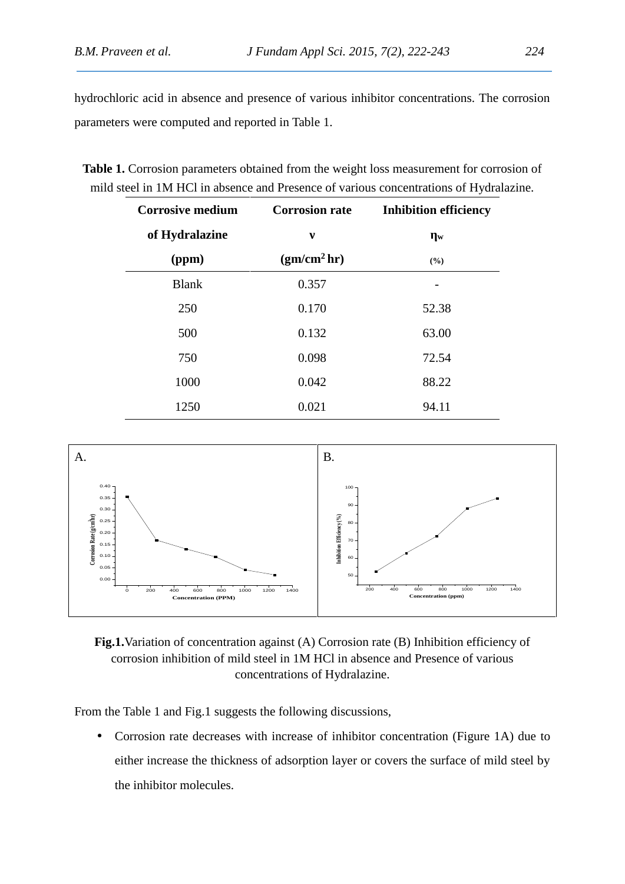hydrochloric acid in absence and presence of various inhibitor concentrations. The corrosion parameters were computed and reported in Table 1.

| <b>Corrosive medium</b> | <b>Corrosion rate</b>   | <b>Inhibition efficiency</b> |  |  |
|-------------------------|-------------------------|------------------------------|--|--|
| of Hydralazine          |                         | W                            |  |  |
| (ppm)                   | (gm/cm <sup>2</sup> hr) | (%)                          |  |  |
| <b>Blank</b>            | 0.357                   |                              |  |  |
| 250                     | 0.170                   | 52.38                        |  |  |
| 500                     | 0.132                   | 63.00                        |  |  |
| 750                     | 0.098                   | 72.54                        |  |  |
| 1000                    | 0.042                   | 88.22                        |  |  |
| 1250                    | 0.021                   | 94.11                        |  |  |

**Table 1.** Corrosion parameters obtained from the weight loss measurement for corrosion of mild steel in 1M HCl in absence and Presence of various concentrations of Hydralazine.



**Fig.1.**Variation of concentration against (A) Corrosion rate (B) Inhibition efficiency of corrosion inhibition of mild steel in 1M HCl in absence and Presence of various concentrations of Hydralazine.

From the Table 1 and Fig.1 suggests the following discussions,

 Corrosion rate decreases with increase of inhibitor concentration (Figure 1A) due to either increase the thickness of adsorption layer or covers the surface of mild steel by the inhibitor molecules.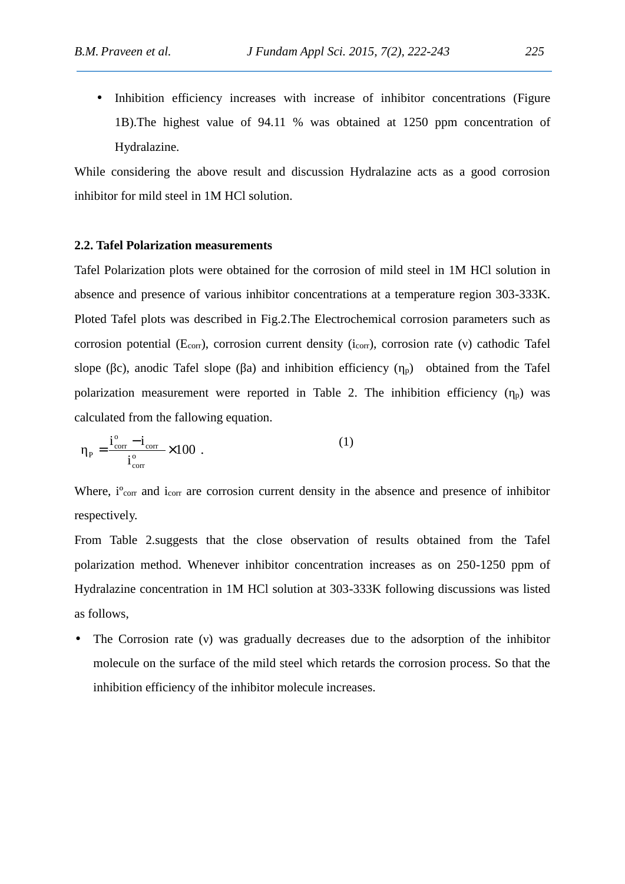• Inhibition efficiency increases with increase of inhibitor concentrations (Figure 1B).The highest value of 94.11 % was obtained at 1250 ppm concentration of Hydralazine.

While considering the above result and discussion Hydralazine acts as a good corrosion inhibitor for mild steel in 1M HCl solution.

#### **2.2. Tafel Polarization measurements**

Tafel Polarization plots were obtained for the corrosion of mild steel in 1M HCl solution in absence and presence of various inhibitor concentrations at a temperature region 303-333K. Ploted Tafel plots was described in Fig.2.The Electrochemical corrosion parameters such as corrosion potential ( $E_{corr}$ ), corrosion current density ( $i_{corr}$ ), corrosion rate () cathodic Tafel slope (c), anodic Tafel slope (a) and inhibition efficiency ( $\beta$ ) obtained from the Tafel polarization measurement were reported in Table 2. The inhibition efficiency  $\binom{p}{p}$  was calculated from the fallowing equation.

$$
P_{\rm P} = \frac{i_{\rm corr}^{\rm o} - i_{\rm corr}}{i_{\rm corr}^{\rm o}} \times 100 \tag{1}
$$

Where,  $i^{\circ}$ <sub>corr</sub> and  $i_{corr}$  are corrosion current density in the absence and presence of inhibitor respectively.

From Table 2.suggests that the close observation of results obtained from the Tafel polarization method. Whenever inhibitor concentration increases as on 250-1250 ppm of Hydralazine concentration in 1M HCl solution at 303-333K following discussions was listed as follows,

The Corrosion rate () was gradually decreases due to the adsorption of the inhibitor molecule on the surface of the mild steel which retards the corrosion process. So that the inhibition efficiency of the inhibitor molecule increases.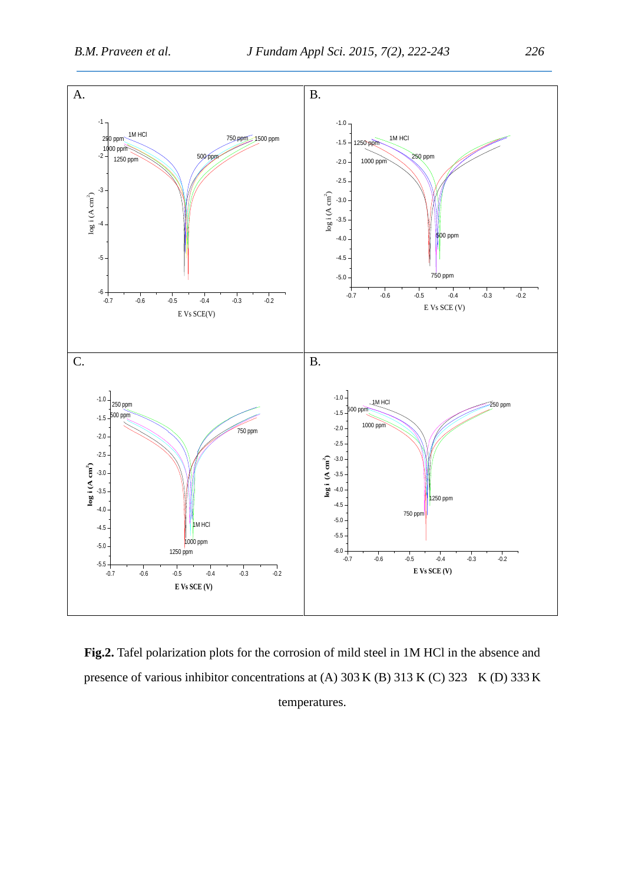

**Fig.2.** Tafel polarization plots for the corrosion of mild steel in 1M HCl in the absence and presence of various inhibitor concentrations at (A) 303 K (B) 313 K (C) 323 K (D) 333 K temperatures.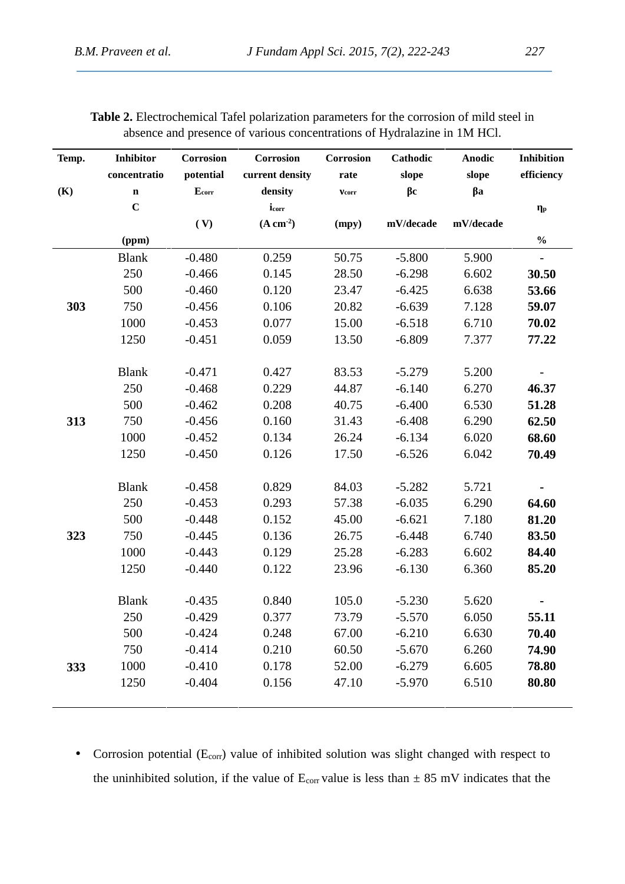| Temp. | <b>Inhibitor</b> | Corrosion         | Corrosion       | Corrosion | Cathodic    | <b>Anodic</b> | <b>Inhibition</b> |
|-------|------------------|-------------------|-----------------|-----------|-------------|---------------|-------------------|
|       | concentratio     | potential         | current density | rate      | slope       | slope         | efficiency        |
| (K)   | $\mathbf n$      | E <sub>corr</sub> | density         | corr      | $\mathbf c$ | $\mathbf a$   |                   |
|       | $\mathbf C$      |                   | icorr           |           |             |               | $\mathbf{p}$      |
|       |                  | (V)               | $(A cm-2)$      | (mpy)     | mV/decade   | mV/decade     |                   |
|       | (ppm)            |                   |                 |           |             |               | $\frac{0}{0}$     |
|       | <b>Blank</b>     | $-0.480$          | 0.259           | 50.75     | $-5.800$    | 5.900         | $-$               |
|       | 250              | $-0.466$          | 0.145           | 28.50     | $-6.298$    | 6.602         | 30.50             |
|       | 500              | $-0.460$          | 0.120           | 23.47     | $-6.425$    | 6.638         | 53.66             |
| 303   | 750              | $-0.456$          | 0.106           | 20.82     | $-6.639$    | 7.128         | 59.07             |
|       | 1000             | $-0.453$          | 0.077           | 15.00     | $-6.518$    | 6.710         | 70.02             |
|       | 1250             | $-0.451$          | 0.059           | 13.50     | $-6.809$    | 7.377         | 77.22             |
|       |                  |                   |                 |           |             |               |                   |
|       | <b>Blank</b>     | $-0.471$          | 0.427           | 83.53     | $-5.279$    | 5.200         |                   |
|       | 250              | $-0.468$          | 0.229           | 44.87     | $-6.140$    | 6.270         | 46.37             |
|       | 500              | $-0.462$          | 0.208           | 40.75     | $-6.400$    | 6.530         | 51.28             |
| 313   | 750              | $-0.456$          | 0.160           | 31.43     | $-6.408$    | 6.290         | 62.50             |
|       | 1000             | $-0.452$          | 0.134           | 26.24     | $-6.134$    | 6.020         | 68.60             |
|       | 1250             | $-0.450$          | 0.126           | 17.50     | $-6.526$    | 6.042         | 70.49             |
|       |                  |                   |                 |           |             |               |                   |
|       | <b>Blank</b>     | $-0.458$          | 0.829           | 84.03     | $-5.282$    | 5.721         |                   |
|       | 250              | $-0.453$          | 0.293           | 57.38     | $-6.035$    | 6.290         | 64.60             |
|       | 500              | $-0.448$          | 0.152           | 45.00     | $-6.621$    | 7.180         | 81.20             |
| 323   | 750              | $-0.445$          | 0.136           | 26.75     | $-6.448$    | 6.740         | 83.50             |
|       | 1000             | $-0.443$          | 0.129           | 25.28     | $-6.283$    | 6.602         | 84.40             |
|       | 1250             | $-0.440$          | 0.122           | 23.96     | $-6.130$    | 6.360         | 85.20             |
|       |                  |                   |                 |           |             |               |                   |
|       | <b>Blank</b>     | $-0.435$          | 0.840           | 105.0     | $-5.230$    | 5.620         |                   |
|       | 250              | $-0.429$          | 0.377           | 73.79     | $-5.570$    | 6.050         | 55.11             |
|       | 500              | $-0.424$          | 0.248           | 67.00     | $-6.210$    | 6.630         | 70.40             |
|       | 750              | $-0.414$          | 0.210           | 60.50     | $-5.670$    | 6.260         | 74.90             |
| 333   | 1000             | $-0.410$          | 0.178           | 52.00     | $-6.279$    | 6.605         | 78.80             |
|       | 1250             | $-0.404$          | 0.156           | 47.10     | $-5.970$    | 6.510         | 80.80             |

**Table 2.** Electrochemical Tafel polarization parameters for the corrosion of mild steel in absence and presence of various concentrations of Hydralazine in 1M HCl.

• Corrosion potential  $(E_{\text{corr}})$  value of inhibited solution was slight changed with respect to the uninhibited solution, if the value of  $E_{corr}$  value is less than  $\pm 85$  mV indicates that the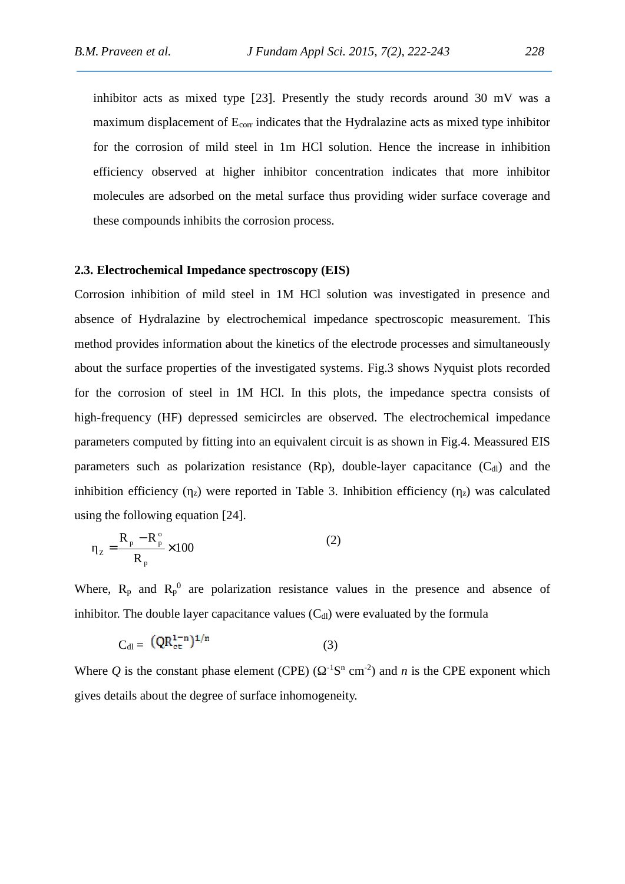inhibitor acts as mixed type [23]. Presently the study records around 30 mV was a maximum displacement of  $E_{corr}$  indicates that the Hydralazine acts as mixed type inhibitor for the corrosion of mild steel in 1m HCl solution. Hence the increase in inhibition efficiency observed at higher inhibitor concentration indicates that more inhibitor molecules are adsorbed on the metal surface thus providing wider surface coverage and these compounds inhibits the corrosion process.

### **2.3. Electrochemical Impedance spectroscopy (EIS)**

Corrosion inhibition of mild steel in 1M HCl solution was investigated in presence and absence of Hydralazine by electrochemical impedance spectroscopic measurement. This method provides information about the kinetics of the electrode processes and simultaneously about the surface properties of the investigated systems. Fig.3 shows Nyquist plots recorded for the corrosion of steel in 1M HCl. In this plots, the impedance spectra consists of high-frequency (HF) depressed semicircles are observed. The electrochemical impedance parameters computed by fitting into an equivalent circuit is as shown in Fig.4. Meassured EIS parameters such as polarization resistance  $(Rp)$ , double-layer capacitance  $(C<sub>dl</sub>)$  and the inhibition efficiency  $\binom{z}{z}$  were reported in Table 3. Inhibition efficiency  $\binom{z}{z}$  was calculated using the following equation [24].

$$
Z = \frac{R_p - R_p^{\circ}}{R_p} \times 100
$$
 (2)

Where,  $R_p$  and  $R_p^0$  are polarization resistance values in the presence and absence of inhibitor. The double layer capacitance values  $(C_{d})$  were evaluated by the formula

$$
C_{dl} = \left(QR_{et}^{1-n}\right)^{1/n} \tag{3}
$$

Where Q is the constant phase element (CPE) ( $^{-1}$ S<sup>n</sup> cm<sup>-2</sup>) and *n* is the CPE exponent which gives details about the degree of surface inhomogeneity.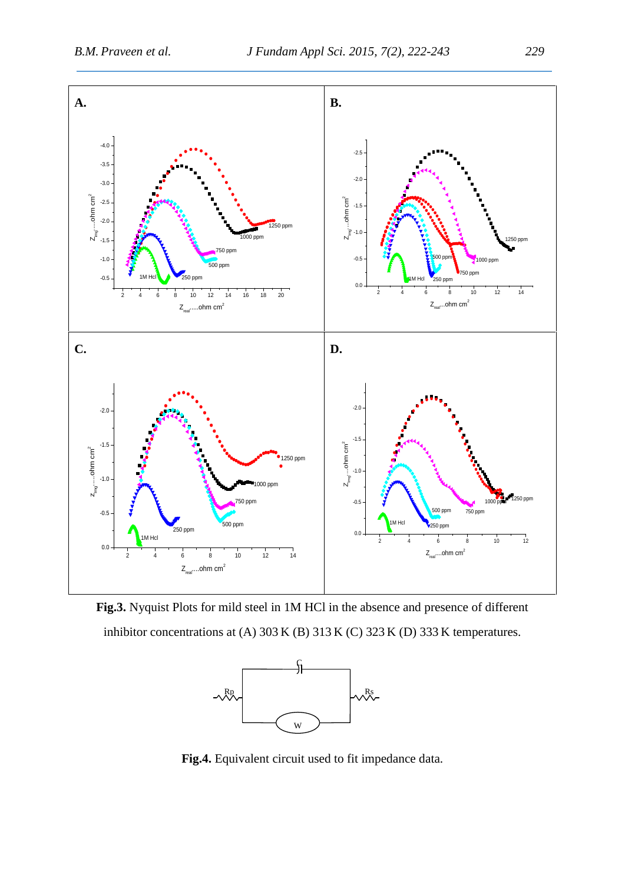

**Fig.3.** Nyquist Plots for mild steel in 1M HCl in the absence and presence of different inhibitor concentrations at (A) 303 K (B) 313 K (C) 323 K (D) 333 K temperatures.



**Fig.4.** Equivalent circuit used to fit impedance data.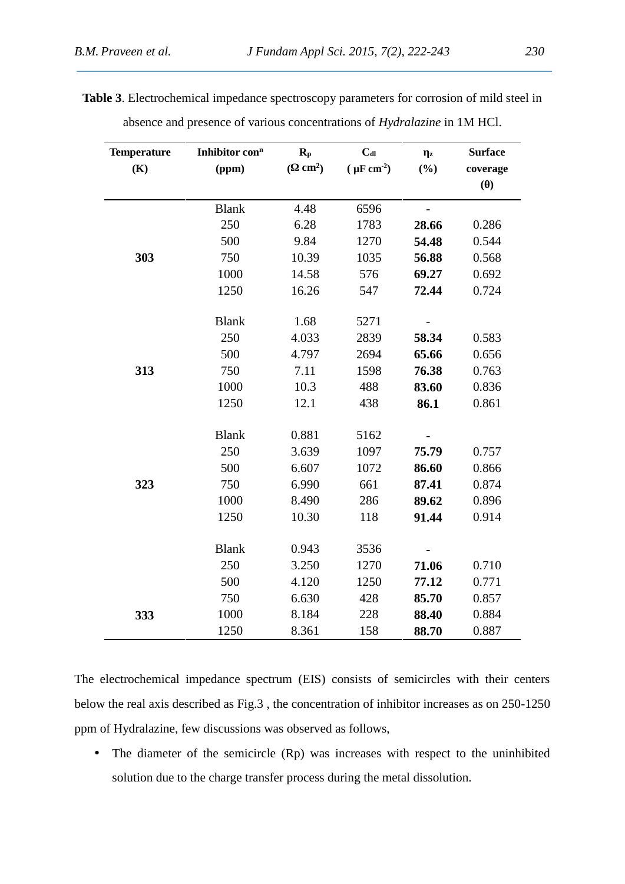| <b>Temperature</b> | Inhibitor con <sup>n</sup> | $R_{p}$              | $C_{dl}$              | $\mathbf{z}$             | <b>Surface</b> |
|--------------------|----------------------------|----------------------|-----------------------|--------------------------|----------------|
| (K)                | (ppm)                      | $\text{cm}^2$ )<br>€ | $(\mu \text{F cm}^2)$ | (%)                      | coverage       |
|                    |                            |                      |                       |                          | ( )            |
|                    | <b>Blank</b>               | 4.48                 | 6596                  | $\overline{\phantom{a}}$ |                |
|                    | 250                        | 6.28                 | 1783                  | 28.66                    | 0.286          |
|                    | 500                        | 9.84                 | 1270                  | 54.48                    | 0.544          |
| 303                | 750                        | 10.39                | 1035                  | 56.88                    | 0.568          |
|                    | 1000                       | 14.58                | 576                   | 69.27                    | 0.692          |
|                    | 1250                       | 16.26                | 547                   | 72.44                    | 0.724          |
|                    | <b>Blank</b>               | 1.68                 | 5271                  | $\overline{\phantom{a}}$ |                |
|                    | 250                        | 4.033                | 2839                  | 58.34                    | 0.583          |
|                    | 500                        | 4.797                | 2694                  | 65.66                    | 0.656          |
| 313                | 750                        | 7.11                 | 1598                  | 76.38                    | 0.763          |
|                    | 1000                       | 10.3                 | 488                   | 83.60                    | 0.836          |
|                    | 1250                       | 12.1                 | 438                   | 86.1                     | 0.861          |
|                    | <b>Blank</b>               | 0.881                | 5162                  |                          |                |
|                    | 250                        | 3.639                | 1097                  | 75.79                    | 0.757          |
|                    | 500                        | 6.607                | 1072                  | 86.60                    | 0.866          |
| 323                | 750                        | 6.990                | 661                   | 87.41                    | 0.874          |
|                    | 1000                       | 8.490                | 286                   | 89.62                    | 0.896          |
|                    | 1250                       | 10.30                | 118                   | 91.44                    | 0.914          |
|                    | <b>Blank</b>               | 0.943                | 3536                  |                          |                |
|                    | 250                        | 3.250                | 1270                  | 71.06                    | 0.710          |
|                    | 500                        | 4.120                | 1250                  | 77.12                    | 0.771          |
|                    | 750                        | 6.630                | 428                   | 85.70                    | 0.857          |
| 333                | 1000                       | 8.184                | 228                   | 88.40                    | 0.884          |
|                    | 1250                       | 8.361                | 158                   | 88.70                    | 0.887          |

**Table 3**. Electrochemical impedance spectroscopy parameters for corrosion of mild steel in absence and presence of various concentrations of *Hydralazine* in 1M HCl.

The electrochemical impedance spectrum (EIS) consists of semicircles with their centers below the real axis described as Fig.3 , the concentration of inhibitor increases as on 250-1250 ppm of Hydralazine, few discussions was observed as follows,

• The diameter of the semicircle (Rp) was increases with respect to the uninhibited solution due to the charge transfer process during the metal dissolution.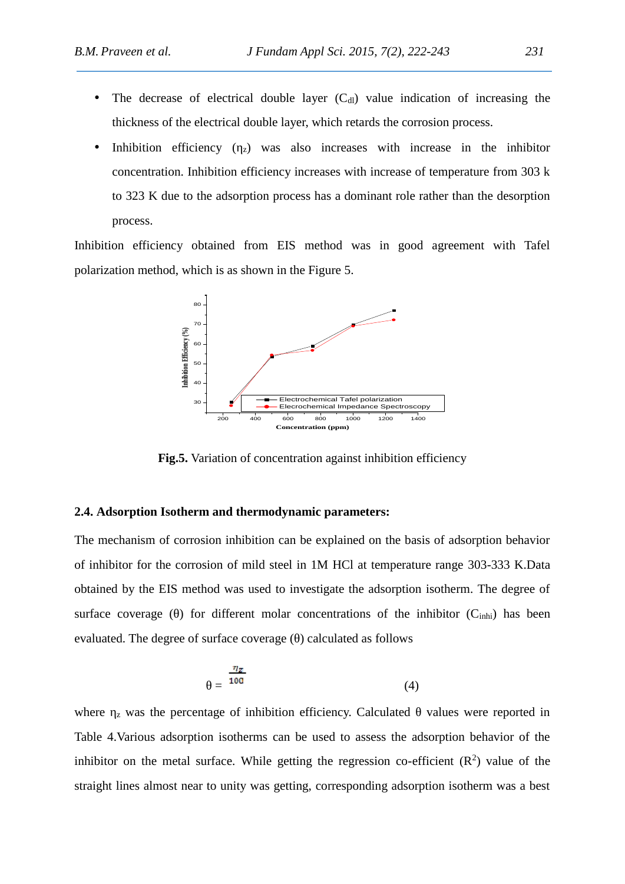- The decrease of electrical double layer  $(C<sub>d</sub>)$  value indication of increasing the thickness of the electrical double layer, which retards the corrosion process.
- Inhibition efficiency ( $\overline{z}$ ) was also increases with increase in the inhibitor concentration. Inhibition efficiency increases with increase of temperature from 303 k to 323 K due to the adsorption process has a dominant role rather than the desorption process.

Inhibition efficiency obtained from EIS method was in good agreement with Tafel polarization method, which is as shown in the Figure 5.



**Fig.5.** Variation of concentration against inhibition efficiency

## **2.4. Adsorption Isotherm and thermodynamic parameters:**

The mechanism of corrosion inhibition can be explained on the basis of adsorption behavior of inhibitor for the corrosion of mild steel in 1M HCl at temperature range 303-333 K.Data obtained by the EIS method was used to investigate the adsorption isotherm. The degree of surface coverage () for different molar concentrations of the inhibitor  $(C_{inhi})$  has been evaluated. The degree of surface coverage () calculated as follows

$$
=\frac{\eta_{\mathcal{Z}}}{100}\tag{4}
$$

where  $\bar{z}$  was the percentage of inhibition efficiency. Calculated values were reported in Table 4.Various adsorption isotherms can be used to assess the adsorption behavior of the inhibitor on the metal surface. While getting the regression co-efficient  $(R^2)$  value of the straight lines almost near to unity was getting, corresponding adsorption isotherm was a best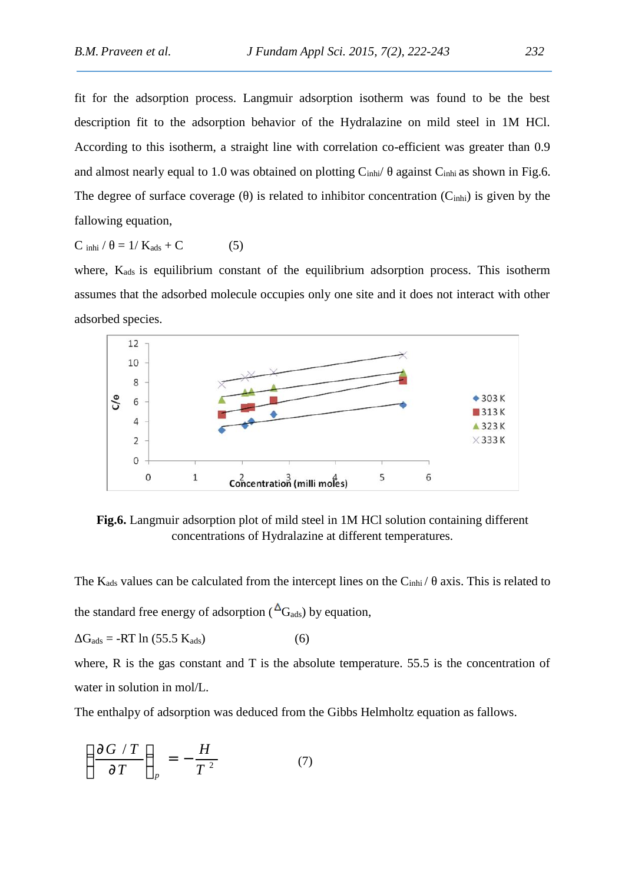fit for the adsorption process. Langmuir adsorption isotherm was found to be the best description fit to the adsorption behavior of the Hydralazine on mild steel in 1M HCl. According to this isotherm, a straight line with correlation co-efficient was greater than 0.9 and almost nearly equal to 1.0 was obtained on plotting  $C_{\text{inhi}}$  against  $C_{\text{inhi}}$  as shown in Fig.6. The degree of surface coverage () is related to inhibitor concentration  $(C_{\text{inhi}})$  is given by the fallowing equation,

$$
C \tanh l = 1/K_{ads} + C \t\t(5)
$$

where,  $K_{ads}$  is equilibrium constant of the equilibrium adsorption process. This isotherm assumes that the adsorbed molecule occupies only one site and it does not interact with other adsorbed species.



**Fig.6.** Langmuir adsorption plot of mild steel in 1M HCl solution containing different concentrations of Hydralazine at different temperatures.

The  $K_{ads}$  values can be calculated from the intercept lines on the  $C_{inhi}/\alpha$  axis. This is related to the standard free energy of adsorption ( $\Delta$ G<sub>ads</sub>) by equation,

$$
G_{ads} = -RT \ln (55.5 K_{ads}) \tag{6}
$$

where, R is the gas constant and T is the absolute temperature. 55.5 is the concentration of water in solution in mol/L.

The enthalpy of adsorption was deduced from the Gibbs Helmholtz equation as fallows.

$$
\left(\frac{\partial G / T}{\partial T}\right)_p = -\frac{H}{T^2} \tag{7}
$$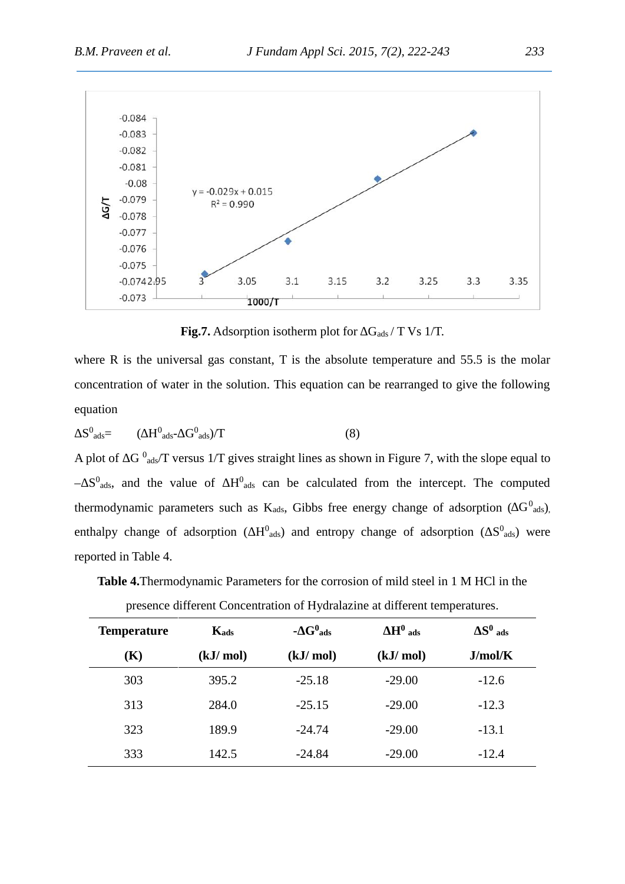

**Fig.7.** Adsorption isotherm plot for  $G_{ads} / T$  Vs 1/T.

where R is the universal gas constant, T is the absolute temperature and 55.5 is the molar concentration of water in the solution. This equation can be rearranged to give the following equation

$$
S^0_{ads} = (H^0_{ads} - G^0_{ads})/T
$$
 (8)

A plot of  $G<sup>0</sup>$ <sub>ads</sub>/T versus 1/T gives straight lines as shown in Figure 7, with the slope equal to  $-$  S<sup>0</sup><sub>ads</sub>, and the value of  $H^0$ <sub>ads</sub> can be calculated from the intercept. The computed thermodynamic parameters such as K<sub>ads</sub>, Gibbs free energy change of adsorption ( $G^0$ <sub>ads</sub>), enthalpy change of adsorption (  $H^0$ <sub>ads</sub>) and entropy change of adsorption (  $S^0$ <sub>ads</sub>) were reported in Table 4.

**Table 4.**Thermodynamic Parameters for the corrosion of mild steel in 1 M HCl in the

| <b>Temperature</b> | Kads     | - $G^0$ <sub>ads</sub> | $H^0$ ads | $S^0$ ads |
|--------------------|----------|------------------------|-----------|-----------|
| (K)                | (kJ/mol) | (kJ/mol)               | (kJ/mol)  | J/mol/K   |
| 303                | 395.2    | $-25.18$               | $-29.00$  | $-12.6$   |
| 313                | 284.0    | $-25.15$               | $-29.00$  | $-12.3$   |
| 323                | 189.9    | $-24.74$               | $-29.00$  | $-13.1$   |
| 333                | 142.5    | $-24.84$               | $-29.00$  | $-12.4$   |

presence different Concentration of Hydralazine at different temperatures.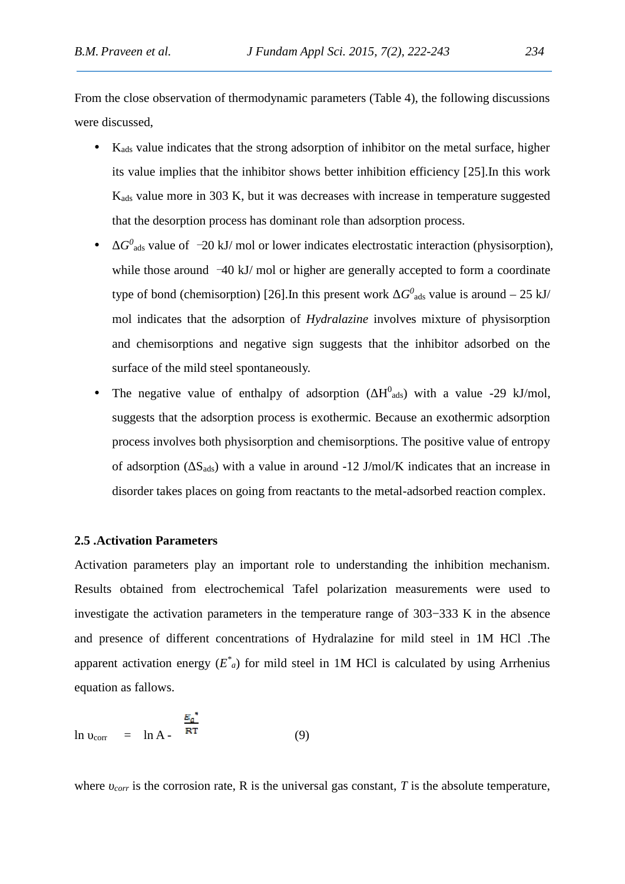From the close observation of thermodynamic parameters (Table 4), the following discussions were discussed,

- $\bullet$  K<sub>ads</sub> value indicates that the strong adsorption of inhibitor on the metal surface, higher its value implies that the inhibitor shows better inhibition efficiency [25].In this work Kads value more in 303 K, but it was decreases with increase in temperature suggested that the desorption process has dominant role than adsorption process.
- **•** *G*<sup>0</sup><sub>ads</sub> value of *−*20 kJ/ mol or lower indicates electrostatic interaction (physisorption), while those around *<sup>−</sup>*40 kJ/ mol or higher are generally accepted to form a coordinate type of bond (chemisorption) [26]. In this present work  $G^0$ <sub>ads</sub> value is around  $-$  25 kJ/ mol indicates that the adsorption of *Hydralazine* involves mixture of physisorption and chemisorptions and negative sign suggests that the inhibitor adsorbed on the surface of the mild steel spontaneously.
- The negative value of enthalpy of adsorption ( $H<sup>0</sup>$ <sub>ads</sub>) with a value -29 kJ/mol, suggests that the adsorption process is exothermic. Because an exothermic adsorption process involves both physisorption and chemisorptions. The positive value of entropy of adsorption ( $S_{ads}$ ) with a value in around -12 J/mol/K indicates that an increase in disorder takes places on going from reactants to the metal-adsorbed reaction complex.

#### **2.5 .Activation Parameters**

Activation parameters play an important role to understanding the inhibition mechanism. Results obtained from electrochemical Tafel polarization measurements were used to investigate the activation parameters in the temperature range of 303−333 K in the absence and presence of different concentrations of Hydralazine for mild steel in 1M HCl .The apparent activation energy  $(E^*)$  for mild steel in 1M HCl is calculated by using Arrhenius equation as fallows.

$$
\ln \quad_{\text{corr}} \quad = \quad \ln A - \frac{\frac{E_a^*}{RT}}{\tag{9}}
$$

where *corr* is the corrosion rate, R is the universal gas constant, T is the absolute temperature,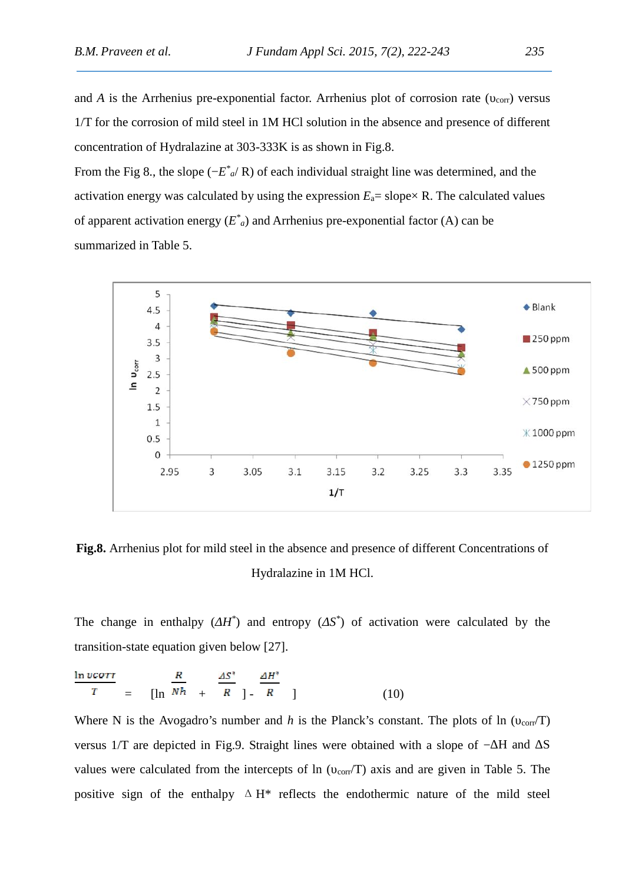and *A* is the Arrhenius pre-exponential factor. Arrhenius plot of corrosion rate ( $_{\rm corr}$ ) versus 1/T for the corrosion of mild steel in 1M HCl solution in the absence and presence of different concentration of Hydralazine at 303-333K is as shown in Fig.8.

From the Fig 8., the slope (−*E \* <sup>a</sup>*/ R) of each individual straight line was determined, and the activation energy was calculated by using the expression  $E_a$ = slope $\times$  R. The calculated values of apparent activation energy  $(E^*)_a$  and Arrhenius pre-exponential factor (A) can be summarized in Table 5.



**Fig.8.** Arrhenius plot for mild steel in the absence and presence of different Concentrations of Hydralazine in 1M HCl.

The change in enthalpy (*ΔH\** ) and entropy (*ΔS\** ) of activation were calculated by the transition-state equation given below [27].

$$
\frac{\ln v \text{corr}}{T} = \left[ \ln \frac{R}{Nh} + \frac{\Delta S^*}{R} \right] - \frac{\Delta H^*}{R} \tag{10}
$$

Where N is the Avogadro's number and *h* is the Planck's constant. The plots of ln ( $_{corr}/T$ ) versus  $1/T$  are depicted in Fig.9. Straight lines were obtained with a slope of  $-$  H and  $\,$ S values were calculated from the intercepts of ln ( $_{\text{corr}}/T$ ) axis and are given in Table 5. The positive sign of the enthalpy  $\Delta H^*$  reflects the endothermic nature of the mild steel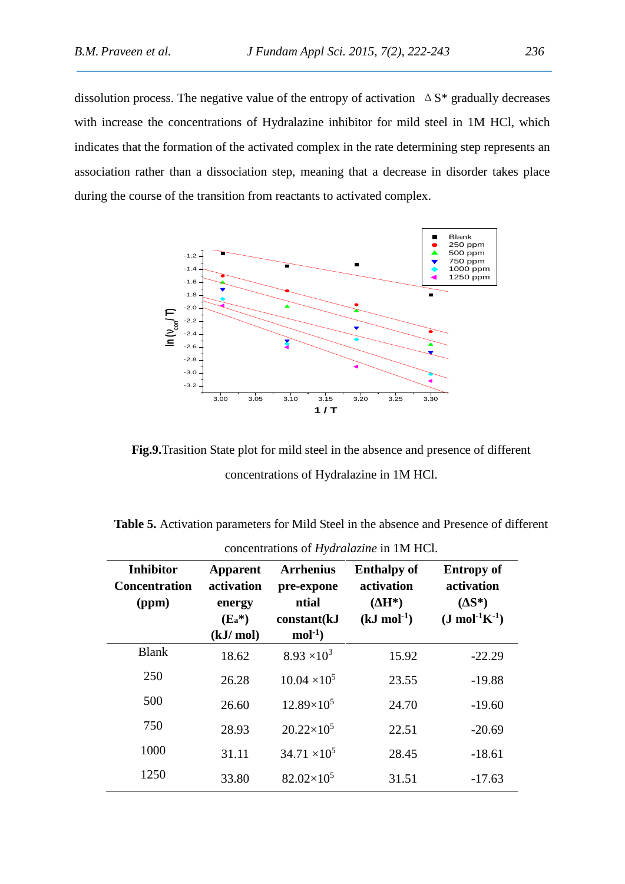dissolution process. The negative value of the entropy of activation  $\Delta S^*$  gradually decreases with increase the concentrations of Hydralazine inhibitor for mild steel in 1M HCl, which indicates that the formation of the activated complex in the rate determining step represents an association rather than a dissociation step, meaning that a decrease in disorder takes place during the course of the transition from reactants to activated complex.



**Fig.9.**Trasition State plot for mild steel in the absence and presence of different concentrations of Hydralazine in 1M HCl.

**Table 5.** Activation parameters for Mild Steel in the absence and Presence of different

| <b>Inhibitor</b><br><b>Concentration</b><br>(ppm) | <b>Apparent</b><br>activation<br>energy<br>$(E_a^*)$<br>(kJ/mol) | <b>Arrhenius</b><br>pre-expone<br>ntial<br>constant(kJ<br>$mol-1$ | <b>Enthalpy of</b><br>activation<br>$H^*$<br>$(kJ \text{ mol}^{-1})$ | <b>Entropy of</b><br>activation<br>$(S^*)$<br>$(J \text{ mol}^{-1}K^{-1})$ |
|---------------------------------------------------|------------------------------------------------------------------|-------------------------------------------------------------------|----------------------------------------------------------------------|----------------------------------------------------------------------------|
| <b>Blank</b>                                      | 18.62                                                            | $8.93 \times 10^{3}$                                              | 15.92                                                                | $-22.29$                                                                   |
| 250                                               | 26.28                                                            | $10.04 \times 10^5$                                               | 23.55                                                                | $-19.88$                                                                   |
| 500                                               | 26.60                                                            | $12.89\times10^{5}$                                               | 24.70                                                                | $-19.60$                                                                   |
| 750                                               | 28.93                                                            | $20.22\times10^5$                                                 | 22.51                                                                | $-20.69$                                                                   |
| 1000                                              | 31.11                                                            | $34.71 \times 10^5$                                               | 28.45                                                                | $-18.61$                                                                   |
| 1250                                              | 33.80                                                            | $82.02\times10^5$                                                 | 31.51                                                                | $-17.63$                                                                   |

concentrations of *Hydralazine* in 1M HCl.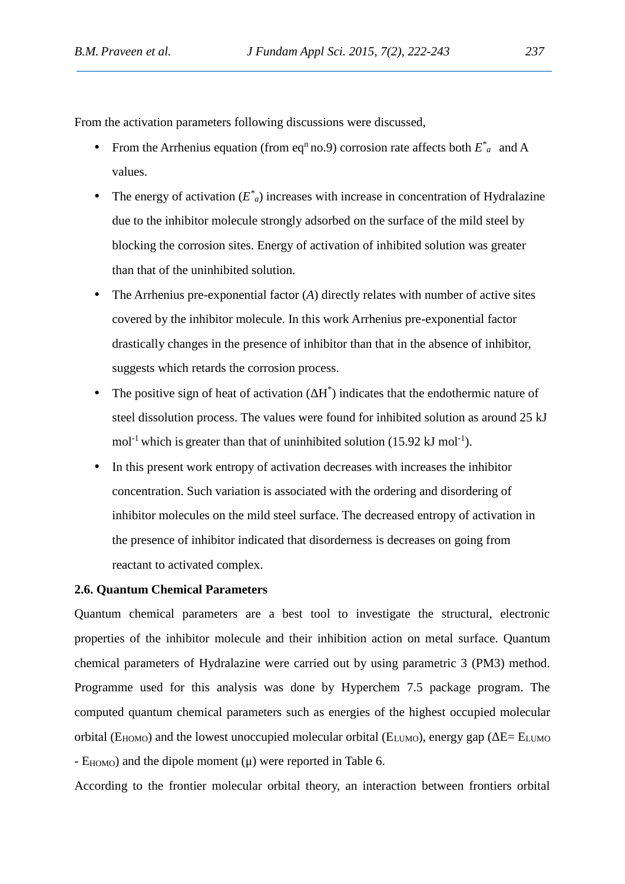From the activation parameters following discussions were discussed,

- From the Arrhenius equation (from eq<sup>n</sup> no.9) corrosion rate affects both  $E^*$ <sub>a</sub> and A values.
- The energy of activation  $(E^*_{a})$  increases with increase in concentration of Hydralazine due to the inhibitor molecule strongly adsorbed on the surface of the mild steel by blocking the corrosion sites. Energy of activation of inhibited solution was greater than that of the uninhibited solution.
- The Arrhenius pre-exponential factor (*A*) directly relates with number of active sites covered by the inhibitor molecule. In this work Arrhenius pre-exponential factor drastically changes in the presence of inhibitor than that in the absence of inhibitor, suggests which retards the corrosion process.
- The positive sign of heat of activation  $(H^*)$  indicates that the endothermic nature of steel dissolution process. The values were found for inhibited solution as around 25 kJ mol<sup>-1</sup> which is greater than that of uninhibited solution  $(15.92 \text{ kJ mol}^{-1})$ .
- In this present work entropy of activation decreases with increases the inhibitor concentration. Such variation is associated with the ordering and disordering of inhibitor molecules on the mild steel surface. The decreased entropy of activation in the presence of inhibitor indicated that disorderness is decreases on going from reactant to activated complex.

## **2.6. Quantum Chemical Parameters**

Quantum chemical parameters are a best tool to investigate the structural, electronic properties of the inhibitor molecule and their inhibition action on metal surface. Quantum chemical parameters of Hydralazine were carried out by using parametric 3 (PM3) method. Programme used for this analysis was done by Hyperchem 7.5 package program. The computed quantum chemical parameters such as energies of the highest occupied molecular orbital ( $E_{HOMO}$ ) and the lowest unoccupied molecular orbital ( $E_{LUMO}$ ), energy gap ( $E = E_{LUMO}$ )  $-$  E<sub>HOMO</sub>) and the dipole moment  $(\mu)$  were reported in Table 6.

According to the frontier molecular orbital theory, an interaction between frontiers orbital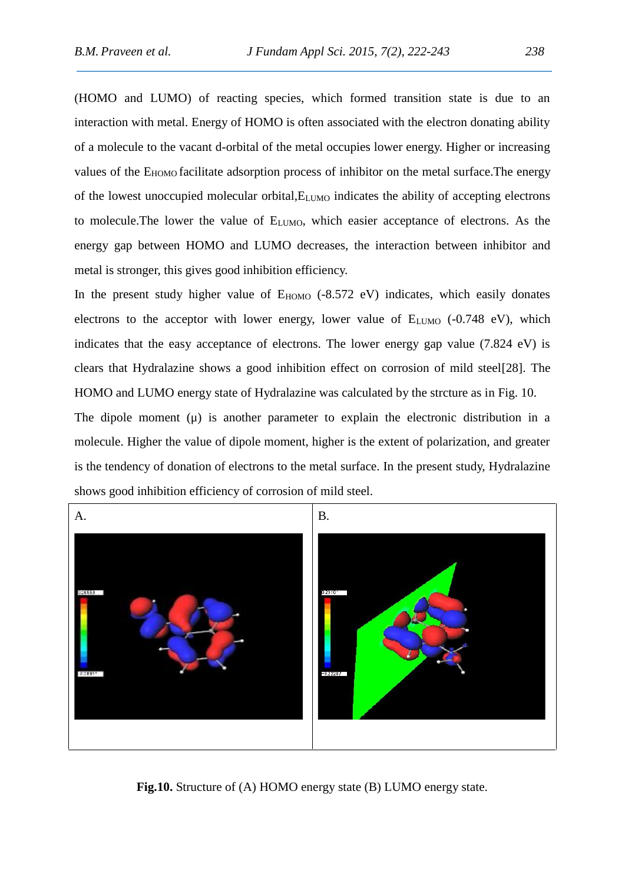(HOMO and LUMO) of reacting species, which formed transition state is due to an interaction with metal. Energy of HOMO is often associated with the electron donating ability of a molecule to the vacant d-orbital of the metal occupies lower energy. Higher or increasing values of the E<sub>HOMO</sub> facilitate adsorption process of inhibitor on the metal surface. The energy of the lowest unoccupied molecular orbital,ELUMO indicates the ability of accepting electrons to molecule. The lower the value of  $E_{LUMO}$ , which easier acceptance of electrons. As the energy gap between HOMO and LUMO decreases, the interaction between inhibitor and metal is stronger, this gives good inhibition efficiency.

In the present study higher value of  $E_{HOMO}$  (-8.572 eV) indicates, which easily donates electrons to the acceptor with lower energy, lower value of  $E_{LUMO}$  (-0.748 eV), which indicates that the easy acceptance of electrons. The lower energy gap value (7.824 eV) is clears that Hydralazine shows a good inhibition effect on corrosion of mild steel[28]. The HOMO and LUMO energy state of Hydralazine was calculated by the strcture as in Fig. 10.

The dipole moment (μ) is another parameter to explain the electronic distribution in a molecule. Higher the value of dipole moment, higher is the extent of polarization, and greater is the tendency of donation of electrons to the metal surface. In the present study, Hydralazine shows good inhibition efficiency of corrosion of mild steel.



**Fig.10.** Structure of (A) HOMO energy state (B) LUMO energy state.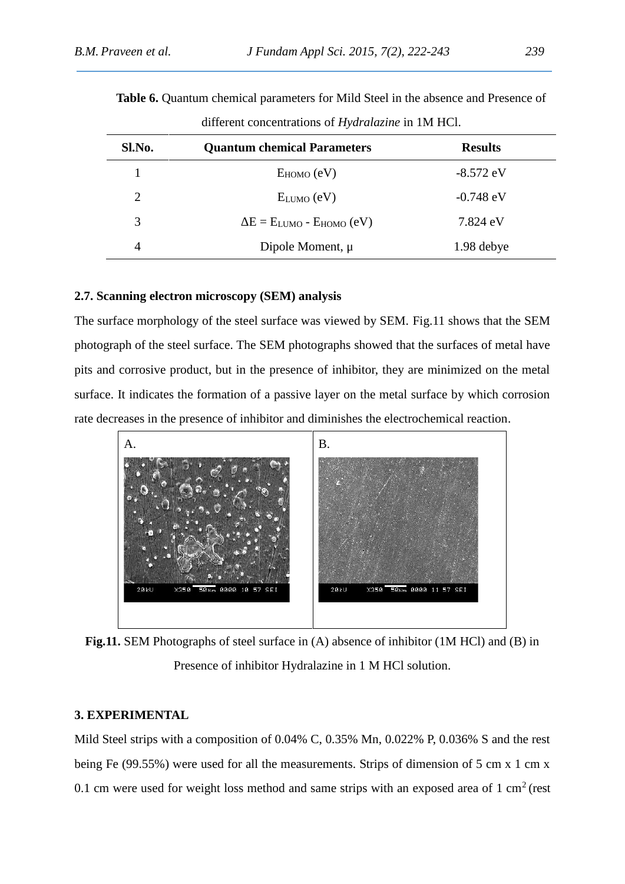| Sl.No. | <b>Quantum chemical Parameters</b> | <b>Results</b> |
|--------|------------------------------------|----------------|
|        | $E_{HOMO} (eV)$                    | $-8.572$ eV    |
| 2      | $E_{LUMO} (eV)$                    | $-0.748$ eV    |
| 3      | $E = E_{LUMO} - E_{HOMO} (eV)$     | 7.824 eV       |
| 4      | Dipole Moment, µ                   | 1.98 debye     |

**Table 6.** Quantum chemical parameters for Mild Steel in the absence and Presence of different concentrations of *Hydralazine* in 1M HCl.

## **2.7. Scanning electron microscopy (SEM) analysis**

The surface morphology of the steel surface was viewed by SEM. Fig.11 shows that the SEM photograph of the steel surface. The SEM photographs showed that the surfaces of metal have pits and corrosive product, but in the presence of inhibitor, they are minimized on the metal surface. It indicates the formation of a passive layer on the metal surface by which corrosion rate decreases in the presence of inhibitor and diminishes the electrochemical reaction.



**Fig.11.** SEM Photographs of steel surface in (A) absence of inhibitor (1M HCl) and (B) in Presence of inhibitor Hydralazine in 1 M HCl solution.

#### **3. EXPERIMENTAL**

Mild Steel strips with a composition of 0.04% C, 0.35% Mn, 0.022% P, 0.036% S and the rest being Fe (99.55%) were used for all the measurements. Strips of dimension of 5 cm x 1 cm x 0.1 cm were used for weight loss method and same strips with an exposed area of  $1 \text{ cm}^2$  (rest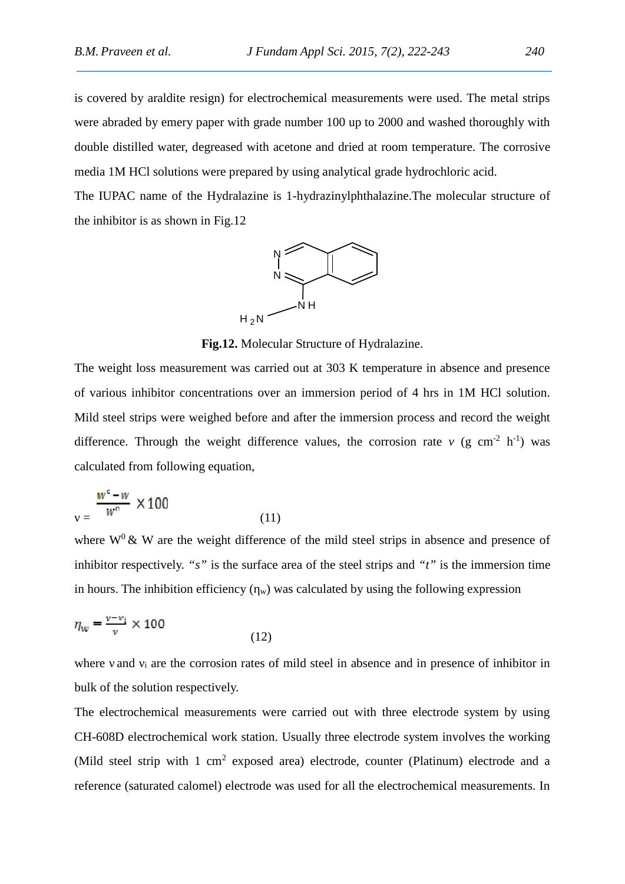is covered by araldite resign) for electrochemical measurements were used. The metal strips were abraded by emery paper with grade number 100 up to 2000 and washed thoroughly with double distilled water, degreased with acetone and dried at room temperature. The corrosive media 1M HCl solutions were prepared by using analytical grade hydrochloric acid.

The IUPAC name of the Hydralazine is 1-hydrazinylphthalazine.The molecular structure of the inhibitor is as shown in Fig.12



**Fig.12.** Molecular Structure of Hydralazine.

The weight loss measurement was carried out at 303 K temperature in absence and presence of various inhibitor concentrations over an immersion period of 4 hrs in 1M HCl solution. Mild steel strips were weighed before and after the immersion process and record the weight difference. Through the weight difference values, the corrosion rate  $^{-1}$ ) was calculated from following equation,

$$
=\frac{w^{\circ}-w}{w^{\circ}}\times100
$$
 (11)

where  $W^0$  & W are the weight difference of the mild steel strips in absence and presence of inhibitor respectively. *"s"* is the surface area of the steel strips and *"t"* is the immersion time in hours. The inhibition efficiency  $(w)$  was calculated by using the following expression

$$
\eta_w = \frac{v - v_i}{v} \times 100\tag{12}
$$

where and  $\mu$  are the corrosion rates of mild steel in absence and in presence of inhibitor in bulk of the solution respectively.

The electrochemical measurements were carried out with three electrode system by using CH-608D electrochemical work station. Usually three electrode system involves the working (Mild steel strip with  $1 \text{ cm}^2$  exposed area) electrode, counter (Platinum) electrode and a reference (saturated calomel) electrode was used for all the electrochemical measurements. In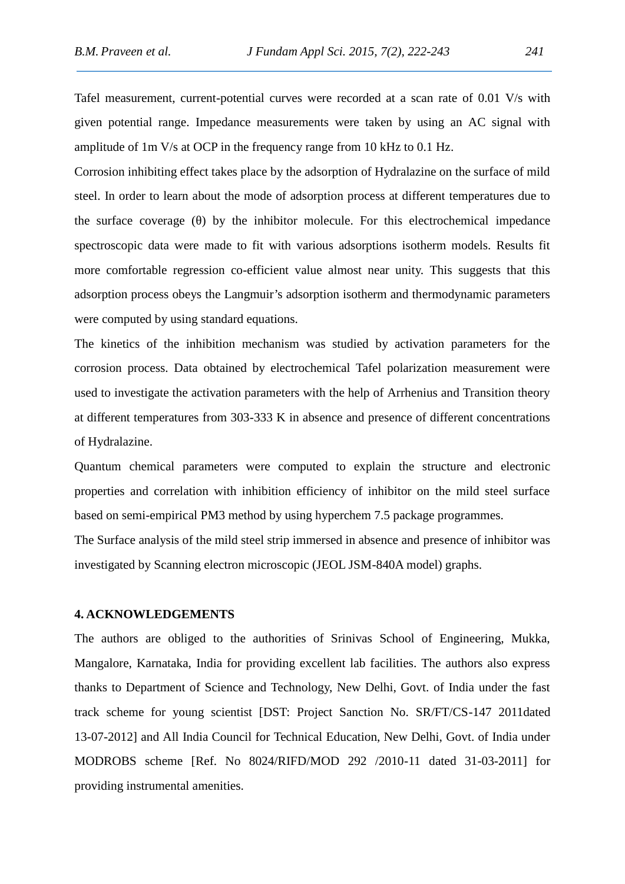Tafel measurement, current-potential curves were recorded at a scan rate of 0.01 V/s with given potential range. Impedance measurements were taken by using an AC signal with amplitude of 1m V/s at OCP in the frequency range from 10 kHz to 0.1 Hz.

Corrosion inhibiting effect takes place by the adsorption of Hydralazine on the surface of mild steel. In order to learn about the mode of adsorption process at different temperatures due to the surface coverage () by the inhibitor molecule. For this electrochemical impedance spectroscopic data were made to fit with various adsorptions isotherm models. Results fit more comfortable regression co-efficient value almost near unity. This suggests that this adsorption process obeys the Langmuir's adsorption isotherm and thermodynamic parameters were computed by using standard equations.

The kinetics of the inhibition mechanism was studied by activation parameters for the corrosion process. Data obtained by electrochemical Tafel polarization measurement were used to investigate the activation parameters with the help of Arrhenius and Transition theory at different temperatures from 303-333 K in absence and presence of different concentrations of Hydralazine.

Quantum chemical parameters were computed to explain the structure and electronic properties and correlation with inhibition efficiency of inhibitor on the mild steel surface based on semi-empirical PM3 method by using hyperchem 7.5 package programmes.

The Surface analysis of the mild steel strip immersed in absence and presence of inhibitor was investigated by Scanning electron microscopic (JEOL JSM-840A model) graphs.

## **4. ACKNOWLEDGEMENTS**

The authors are obliged to the authorities of Srinivas School of Engineering, Mukka, Mangalore, Karnataka, India for providing excellent lab facilities. The authors also express thanks to Department of Science and Technology, New Delhi, Govt. of India under the fast track scheme for young scientist [DST: Project Sanction No. SR/FT/CS-147 2011dated 13-07-2012] and All India Council for Technical Education, New Delhi, Govt. of India under MODROBS scheme [Ref. No 8024/RIFD/MOD 292 /2010-11 dated 31-03-2011] for providing instrumental amenities.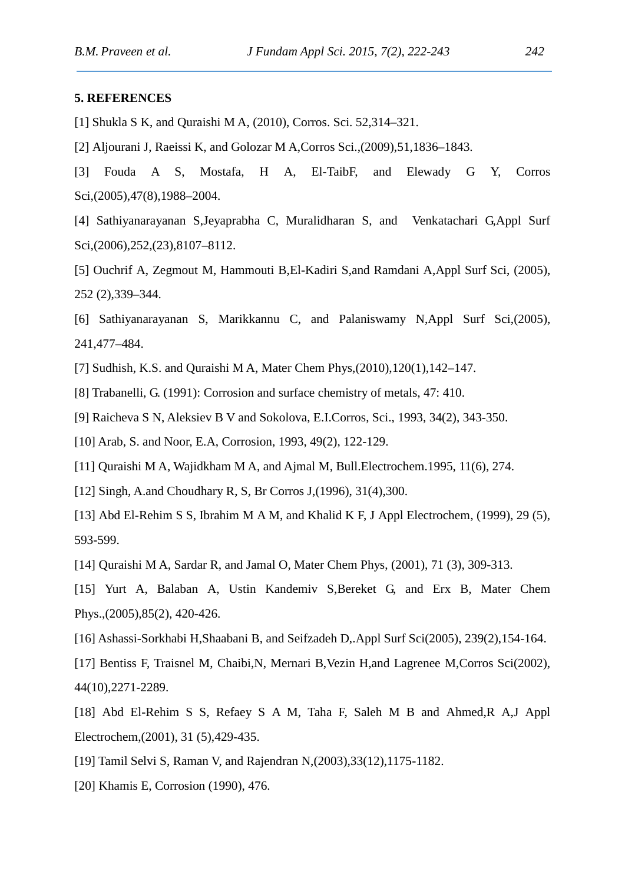### **5. REFERENCES**

- [1] Shukla S K, and Quraishi M A, (2010), Corros. Sci. 52,314–321.
- [2] Aljourani J, Raeissi K, and Golozar M A,Corros Sci.,(2009),51,1836–1843.
- [3] Fouda A S, Mostafa, H A, El-TaibF, and Elewady G Y, Corros Sci,(2005),47(8),1988–2004.
- [4] Sathiyanarayanan S,Jeyaprabha C, Muralidharan S, and Venkatachari G,Appl Surf Sci,(2006),252,(23),8107–8112.
- [5] Ouchrif A, Zegmout M, Hammouti B,El-Kadiri S,and Ramdani A,Appl Surf Sci, (2005), 252 (2),339–344.
- [6] Sathiyanarayanan S, Marikkannu C, and Palaniswamy N,Appl Surf Sci,(2005), 241,477–484.
- [7] Sudhish, K.S. and Quraishi M A, Mater Chem Phys,(2010),120(1),142–147.
- [8] Trabanelli, G. (1991): Corrosion and surface chemistry of metals, 47: 410.
- [9] Raicheva S N, Aleksiev B V and Sokolova, E.I.Corros, Sci., 1993, 34(2), 343-350.
- [10] Arab, S. and Noor, E.A, Corrosion, 1993, 49(2), 122-129.
- [11] Quraishi M A, Wajidkham M A, and Ajmal M, Bull.Electrochem.1995, 11(6), 274.
- [12] Singh, A.and Choudhary R, S, Br Corros J,(1996), 31(4),300.
- [13] Abd El-Rehim S S, Ibrahim M A M, and Khalid K F, J Appl Electrochem, (1999), 29 (5), 593-599.
- [14] Quraishi M A, Sardar R, and Jamal O, Mater Chem Phys, (2001), 71 (3), 309-313.
- [15] Yurt A, Balaban A, Ustin Kandemiv S, Bereket G, and Erx B, Mater Chem Phys.,(2005),85(2), 420-426.
- [16] Ashassi-Sorkhabi H,Shaabani B, and Seifzadeh D,.Appl Surf Sci(2005), 239(2),154-164.
- [17] Bentiss F, Traisnel M, Chaibi,N, Mernari B,Vezin H,and Lagrenee M,Corros Sci(2002), 44(10),2271-2289.
- [18] Abd El-Rehim S S, Refaey S A M, Taha F, Saleh M B and Ahmed, R A, J Appl Electrochem,(2001), 31 (5),429-435.
- [19] Tamil Selvi S, Raman V, and Rajendran N,(2003),33(12),1175-1182.
- [20] Khamis E, Corrosion (1990), 476.